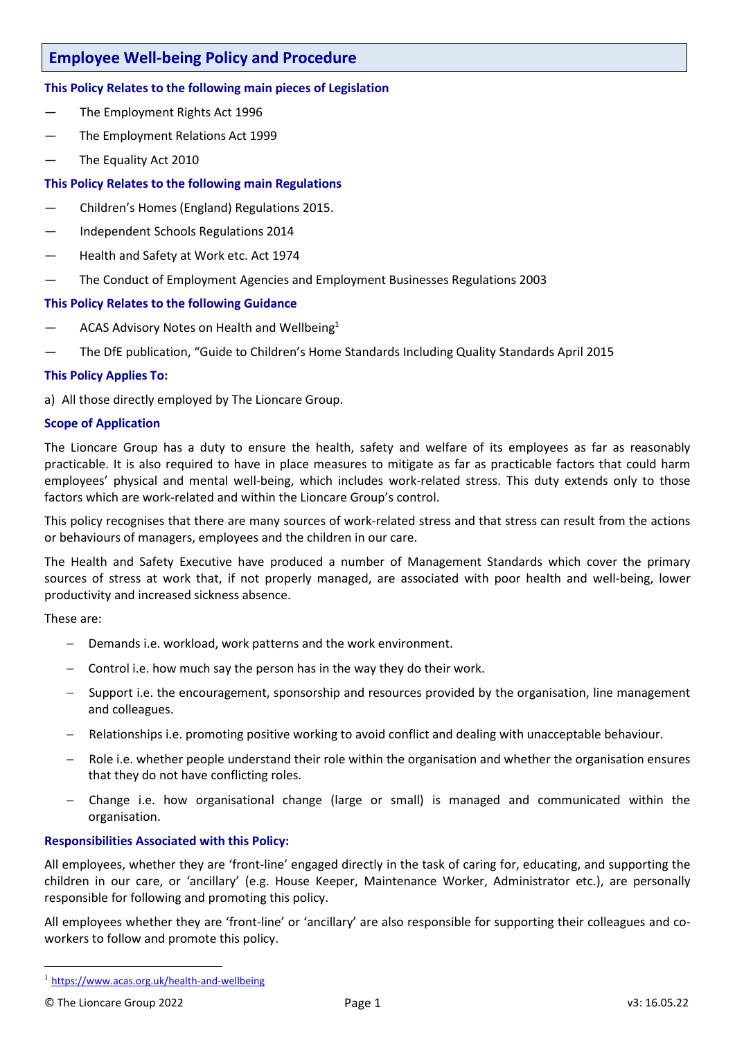# **Employee Well-being Policy and Procedure**

# **This Policy Relates to the following main pieces of Legislation**

- The Employment Rights Act 1996
- The Employment Relations Act 1999
- The Equality Act 2010

# **This Policy Relates to the following main Regulations**

- Children's Homes (England) Regulations 2015.
- Independent Schools Regulations 2014
- Health and Safety at Work etc. Act 1974
- The Conduct of Employment Agencies and Employment Businesses Regulations 2003

### **This Policy Relates to the following Guidance**

- $-$  ACAS Advisory Notes on Health and Wellbeing<sup>1</sup>
- The DfE publication, "Guide to Children's Home Standards Including Quality Standards April 2015

### **This Policy Applies To:**

a) All those directly employed by The Lioncare Group.

# **Scope of Application**

The Lioncare Group has a duty to ensure the health, safety and welfare of its employees as far as reasonably practicable. It is also required to have in place measures to mitigate as far as practicable factors that could harm employees' physical and mental well-being, which includes work-related stress. This duty extends only to those factors which are work-related and within the Lioncare Group's control.

This policy recognises that there are many sources of work-related stress and that stress can result from the actions or behaviours of managers, employees and the children in our care.

The Health and Safety Executive have produced a number of Management Standards which cover the primary sources of stress at work that, if not properly managed, are associated with poor health and well-being, lower productivity and increased sickness absence.

These are:

- Demands i.e. workload, work patterns and the work environment.
- Control i.e. how much say the person has in the way they do their work.
- Support i.e. the encouragement, sponsorship and resources provided by the organisation, line management and colleagues.
- Relationships i.e. promoting positive working to avoid conflict and dealing with unacceptable behaviour.
- Role i.e. whether people understand their role within the organisation and whether the organisation ensures that they do not have conflicting roles.
- Change i.e. how organisational change (large or small) is managed and communicated within the organisation.

### **Responsibilities Associated with this Policy:**

All employees, whether they are 'front-line' engaged directly in the task of caring for, educating, and supporting the children in our care, or 'ancillary' (e.g. House Keeper, Maintenance Worker, Administrator etc.), are personally responsible for following and promoting this policy.

All employees whether they are 'front-line' or 'ancillary' are also responsible for supporting their colleagues and coworkers to follow and promote this policy.

<sup>1</sup> <https://www.acas.org.uk/health-and-wellbeing>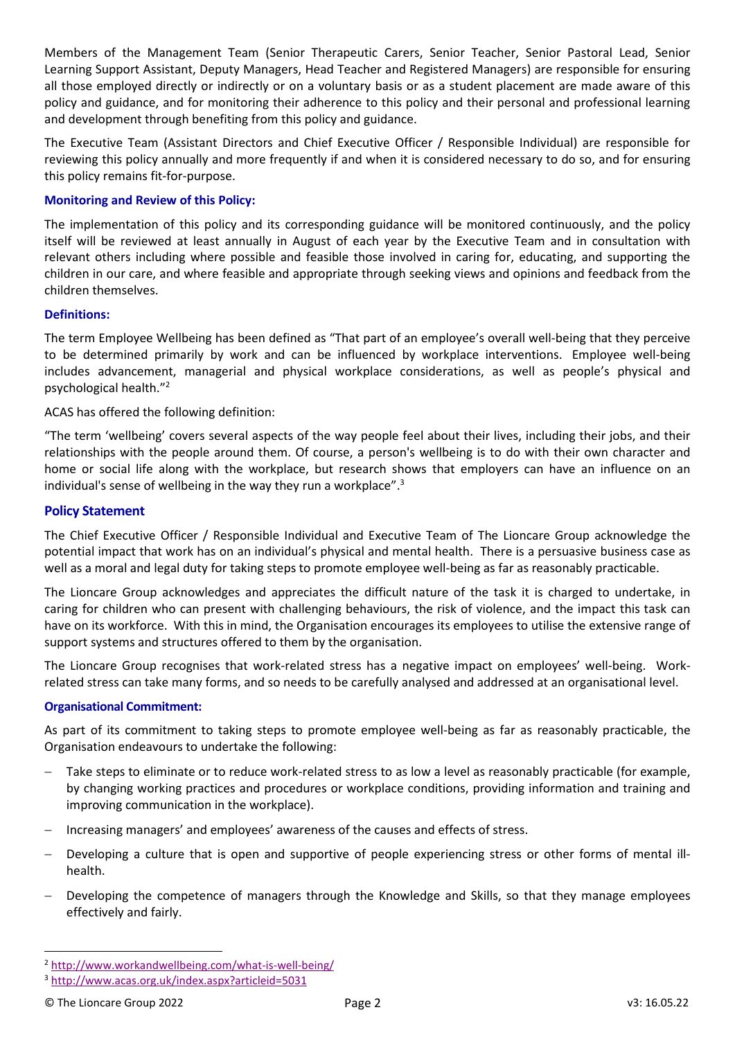Members of the Management Team (Senior Therapeutic Carers, Senior Teacher, Senior Pastoral Lead, Senior Learning Support Assistant, Deputy Managers, Head Teacher and Registered Managers) are responsible for ensuring all those employed directly or indirectly or on a voluntary basis or as a student placement are made aware of this policy and guidance, and for monitoring their adherence to this policy and their personal and professional learning and development through benefiting from this policy and guidance.

The Executive Team (Assistant Directors and Chief Executive Officer / Responsible Individual) are responsible for reviewing this policy annually and more frequently if and when it is considered necessary to do so, and for ensuring this policy remains fit-for-purpose.

### **Monitoring and Review of this Policy:**

The implementation of this policy and its corresponding guidance will be monitored continuously, and the policy itself will be reviewed at least annually in August of each year by the Executive Team and in consultation with relevant others including where possible and feasible those involved in caring for, educating, and supporting the children in our care, and where feasible and appropriate through seeking views and opinions and feedback from the children themselves.

# **Definitions:**

The term Employee Wellbeing has been defined as "That part of an employee's overall well-being that they perceive to be determined primarily by work and can be influenced by workplace interventions. Employee well-being includes advancement, managerial and physical workplace considerations, as well as people's physical and psychological health."<sup>2</sup>

ACAS has offered the following definition:

"The term 'wellbeing' covers several aspects of the way people feel about their lives, including their jobs, and their relationships with the people around them. Of course, a person's wellbeing is to do with their own character and home or social life along with the workplace, but research shows that employers can have an influence on an individual's sense of wellbeing in the way they run a workplace".<sup>3</sup>

# **Policy Statement**

The Chief Executive Officer / Responsible Individual and Executive Team of The Lioncare Group acknowledge the potential impact that work has on an individual's physical and mental health. There is a persuasive business case as well as a moral and legal duty for taking steps to promote employee well-being as far as reasonably practicable.

The Lioncare Group acknowledges and appreciates the difficult nature of the task it is charged to undertake, in caring for children who can present with challenging behaviours, the risk of violence, and the impact this task can have on its workforce. With this in mind, the Organisation encourages its employees to utilise the extensive range of support systems and structures offered to them by the organisation.

The Lioncare Group recognises that work-related stress has a negative impact on employees' well-being. Workrelated stress can take many forms, and so needs to be carefully analysed and addressed at an organisational level.

### **Organisational Commitment:**

As part of its commitment to taking steps to promote employee well-being as far as reasonably practicable, the Organisation endeavours to undertake the following:

- Take steps to eliminate or to reduce work-related stress to as low a level as reasonably practicable (for example, by changing working practices and procedures or workplace conditions, providing information and training and improving communication in the workplace).
- Increasing managers' and employees' awareness of the causes and effects of stress.
- Developing a culture that is open and supportive of people experiencing stress or other forms of mental illhealth.
- Developing the competence of managers through the Knowledge and Skills, so that they manage employees effectively and fairly.

<sup>2</sup> <http://www.workandwellbeing.com/what-is-well-being/>

<sup>3</sup> <http://www.acas.org.uk/index.aspx?articleid=5031>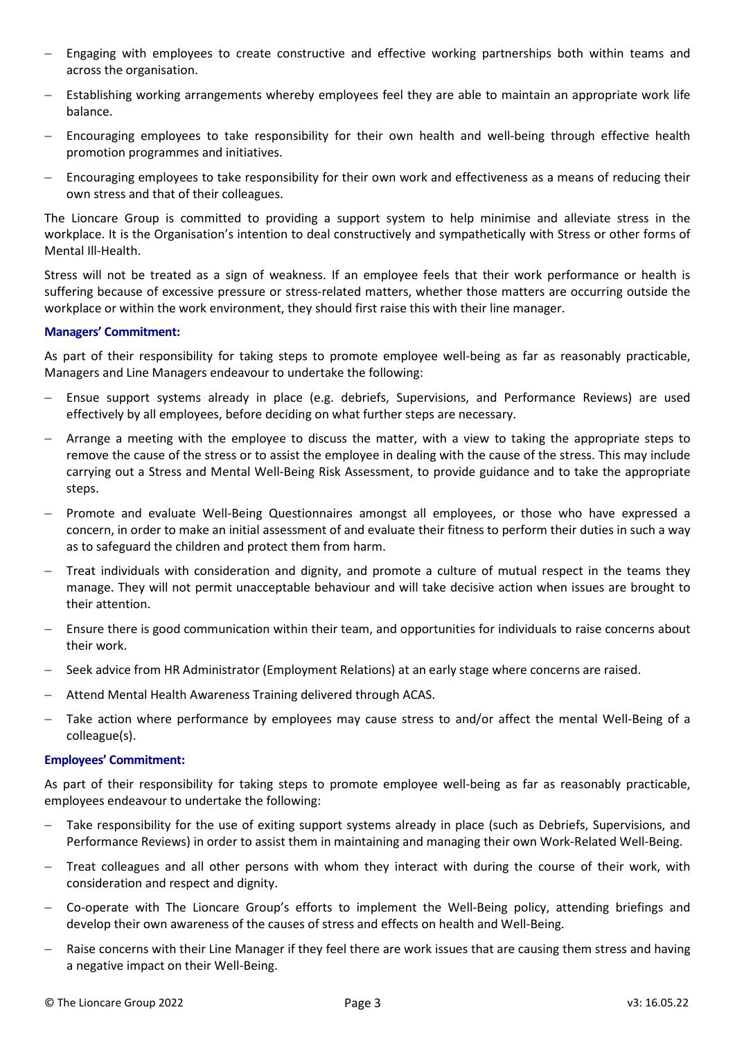- Engaging with employees to create constructive and effective working partnerships both within teams and across the organisation.
- Establishing working arrangements whereby employees feel they are able to maintain an appropriate work life balance.
- Encouraging employees to take responsibility for their own health and well-being through effective health promotion programmes and initiatives.
- Encouraging employees to take responsibility for their own work and effectiveness as a means of reducing their own stress and that of their colleagues.

The Lioncare Group is committed to providing a support system to help minimise and alleviate stress in the workplace. It is the Organisation's intention to deal constructively and sympathetically with Stress or other forms of Mental Ill-Health.

Stress will not be treated as a sign of weakness. If an employee feels that their work performance or health is suffering because of excessive pressure or stress-related matters, whether those matters are occurring outside the workplace or within the work environment, they should first raise this with their line manager.

### **Managers' Commitment:**

As part of their responsibility for taking steps to promote employee well-being as far as reasonably practicable, Managers and Line Managers endeavour to undertake the following:

- Ensue support systems already in place (e.g. debriefs, Supervisions, and Performance Reviews) are used effectively by all employees, before deciding on what further steps are necessary.
- Arrange a meeting with the employee to discuss the matter, with a view to taking the appropriate steps to remove the cause of the stress or to assist the employee in dealing with the cause of the stress. This may include carrying out a Stress and Mental Well-Being Risk Assessment, to provide guidance and to take the appropriate steps.
- Promote and evaluate Well-Being Questionnaires amongst all employees, or those who have expressed a concern, in order to make an initial assessment of and evaluate their fitness to perform their duties in such a way as to safeguard the children and protect them from harm.
- Treat individuals with consideration and dignity, and promote a culture of mutual respect in the teams they manage. They will not permit unacceptable behaviour and will take decisive action when issues are brought to their attention.
- Ensure there is good communication within their team, and opportunities for individuals to raise concerns about their work.
- Seek advice from HR Administrator (Employment Relations) at an early stage where concerns are raised.
- Attend Mental Health Awareness Training delivered through ACAS.
- Take action where performance by employees may cause stress to and/or affect the mental Well-Being of a colleague(s).

### **Employees' Commitment:**

As part of their responsibility for taking steps to promote employee well-being as far as reasonably practicable, employees endeavour to undertake the following:

- Take responsibility for the use of exiting support systems already in place (such as Debriefs, Supervisions, and Performance Reviews) in order to assist them in maintaining and managing their own Work-Related Well-Being.
- Treat colleagues and all other persons with whom they interact with during the course of their work, with consideration and respect and dignity.
- Co-operate with The Lioncare Group's efforts to implement the Well-Being policy, attending briefings and develop their own awareness of the causes of stress and effects on health and Well-Being.
- Raise concerns with their Line Manager if they feel there are work issues that are causing them stress and having a negative impact on their Well-Being.